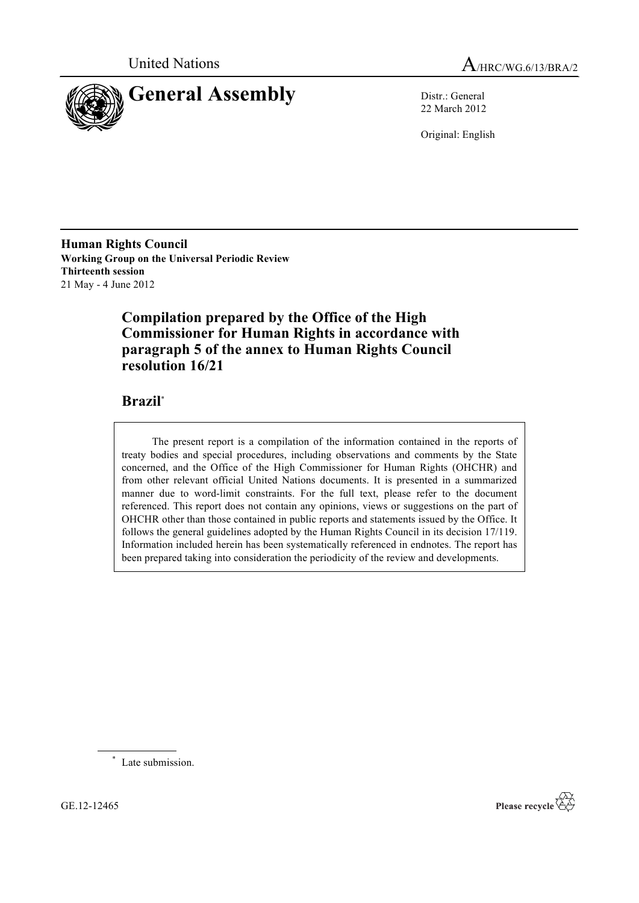



22 March 2012

Original: English

**Human Rights Council Working Group on the Universal Periodic Review Thirteenth session** 21 May - 4 June 2012

# **Compilation prepared by the Office of the High Commissioner for Human Rights in accordance with paragraph 5 of the annex to Human Rights Council resolution 16/21**

### **Brazil**\*

The present report is a compilation of the information contained in the reports of treaty bodies and special procedures, including observations and comments by the State concerned, and the Office of the High Commissioner for Human Rights (OHCHR) and from other relevant official United Nations documents. It is presented in a summarized manner due to word-limit constraints. For the full text, please refer to the document referenced. This report does not contain any opinions, views or suggestions on the part of OHCHR other than those contained in public reports and statements issued by the Office. It follows the general guidelines adopted by the Human Rights Council in its decision 17/119. Information included herein has been systematically referenced in endnotes. The report has been prepared taking into consideration the periodicity of the review and developments.

\* Late submission.

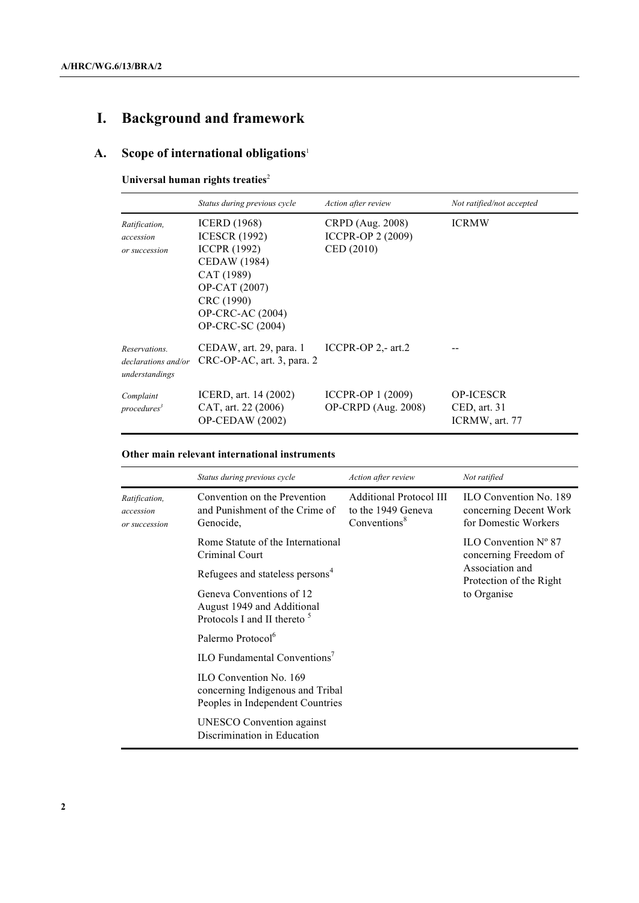# **I. Background and framework**

# **A. Scope of international obligations**<sup>1</sup>

#### **Universal human rights treaties**<sup>2</sup>

|                                                        | Status during previous cycle                                                                                                                                                          | Action after review                                        | Not ratified/not accepted                                              |
|--------------------------------------------------------|---------------------------------------------------------------------------------------------------------------------------------------------------------------------------------------|------------------------------------------------------------|------------------------------------------------------------------------|
| Ratification,<br>accession<br>or succession            | <b>ICERD</b> (1968)<br><b>ICESCR</b> (1992)<br><b>ICCPR</b> (1992)<br>CEDAW (1984)<br>CAT (1989)<br>OP-CAT (2007)<br>CRC (1990)<br><b>OP-CRC-AC</b> (2004)<br><b>OP-CRC-SC (2004)</b> | CRPD (Aug. 2008)<br><b>ICCPR-OP 2 (2009)</b><br>CED (2010) | <b>ICRMW</b>                                                           |
| Reservations.<br>declarations and/or<br>understandings | CEDAW, art. 29, para. 1<br>CRC-OP-AC, art. 3, para. 2                                                                                                                                 | ICCPR-OP $2$ , art. $2$                                    |                                                                        |
| Complaint<br>procedures <sup>3</sup>                   | ICERD, art. 14 (2002)<br>CAT, art. 22 (2006)<br>$OP$ -CEDAW $(2002)$                                                                                                                  | ICCPR-OP 1 (2009)<br><b>OP-CRPD</b> (Aug. 2008)            | <b>OP-ICESCR</b><br>$\mathsf{CED}, \mathsf{art}, 31$<br>ICRMW, art. 77 |

#### **Other main relevant international instruments**

|                                             | Status during previous cycle                                                                      | Action after review                                                     | Not ratified                                                                    |
|---------------------------------------------|---------------------------------------------------------------------------------------------------|-------------------------------------------------------------------------|---------------------------------------------------------------------------------|
| Ratification,<br>accession<br>or succession | Convention on the Prevention<br>and Punishment of the Crime of<br>Genocide,                       | <b>Additional Protocol III</b><br>to the 1949 Geneva<br>Conventions $8$ | <b>ILO Convention No. 189</b><br>concerning Decent Work<br>for Domestic Workers |
|                                             | Rome Statute of the International<br>Criminal Court                                               |                                                                         | $II.O$ Convention $N^{\circ}$ 87<br>concerning Freedom of                       |
|                                             | Refugees and stateless persons <sup>4</sup>                                                       |                                                                         | Association and<br>Protection of the Right                                      |
|                                             | Geneva Conventions of 12<br>August 1949 and Additional<br>Protocols I and II thereto <sup>5</sup> |                                                                         | to Organise                                                                     |
|                                             | Palermo Protocol <sup>6</sup>                                                                     |                                                                         |                                                                                 |
|                                             | ILO Fundamental Conventions <sup>7</sup>                                                          |                                                                         |                                                                                 |
|                                             | ILO Convention No. 169<br>concerning Indigenous and Tribal<br>Peoples in Independent Countries    |                                                                         |                                                                                 |
|                                             | <b>UNESCO</b> Convention against<br>Discrimination in Education                                   |                                                                         |                                                                                 |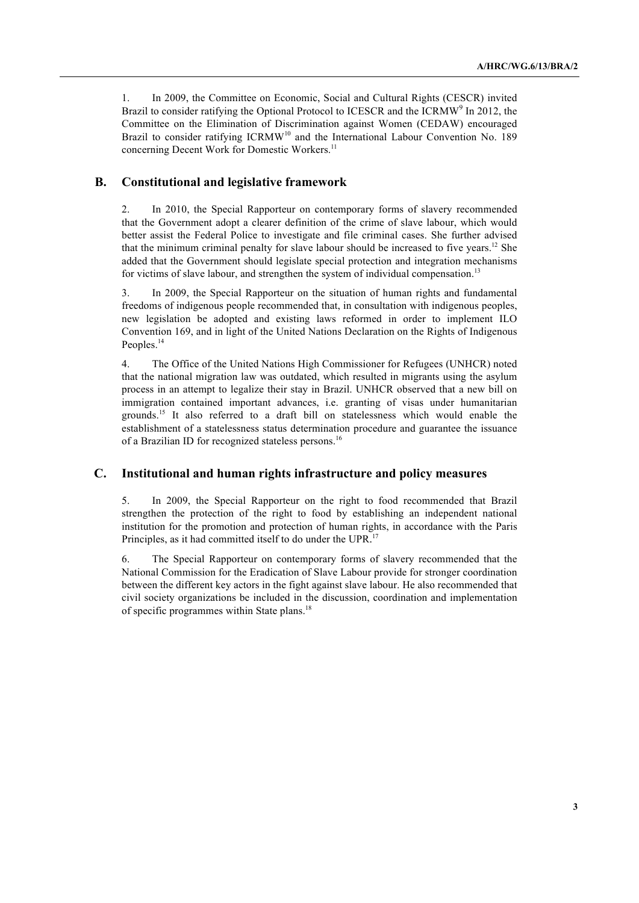1. In 2009, the Committee on Economic, Social and Cultural Rights (CESCR) invited Brazil to consider ratifying the Optional Protocol to ICESCR and the ICRMW<sup>9</sup> In 2012, the Committee on the Elimination of Discrimination against Women (CEDAW) encouraged Brazil to consider ratifying  $ICRMW<sup>10</sup>$  and the International Labour Convention No. 189 concerning Decent Work for Domestic Workers. 11

#### **B. Constitutional and legislative framework**

2. In 2010, the Special Rapporteur on contemporary forms of slavery recommended that the Government adopt a clearer definition of the crime of slave labour, which would better assist the Federal Police to investigate and file criminal cases. She further advised that the minimum criminal penalty for slave labour should be increased to five years.<sup>12</sup> She added that the Government should legislate special protection and integration mechanisms for victims of slave labour, and strengthen the system of individual compensation.<sup>13</sup>

3. In 2009, the Special Rapporteur on the situation of human rights and fundamental freedoms of indigenous people recommended that, in consultation with indigenous peoples, new legislation be adopted and existing laws reformed in order to implement ILO Convention 169, and in light of the United Nations Declaration on the Rights of Indigenous Peoples.<sup>14</sup>

4. The Office of the United Nations High Commissioner for Refugees (UNHCR) noted that the national migration law was outdated, which resulted in migrants using the asylum process in an attempt to legalize their stay in Brazil. UNHCR observed that a new bill on immigration contained important advances, i.e. granting of visas under humanitarian grounds.<sup>15</sup> It also referred to a draft bill on statelessness which would enable the establishment of a statelessness status determination procedure and guarantee the issuance of a Brazilian ID for recognized stateless persons.<sup>16</sup>

#### **C. Institutional and human rights infrastructure and policy measures**

5. In 2009, the Special Rapporteur on the right to food recommended that Brazil strengthen the protection of the right to food by establishing an independent national institution for the promotion and protection of human rights, in accordance with the Paris Principles, as it had committed itself to do under the UPR.<sup>17</sup>

6. The Special Rapporteur on contemporary forms of slavery recommended that the National Commission for the Eradication of Slave Labour provide for stronger coordination between the different key actors in the fight against slave labour. He also recommended that civil society organizations be included in the discussion, coordination and implementation of specific programmes within State plans.<sup>18</sup>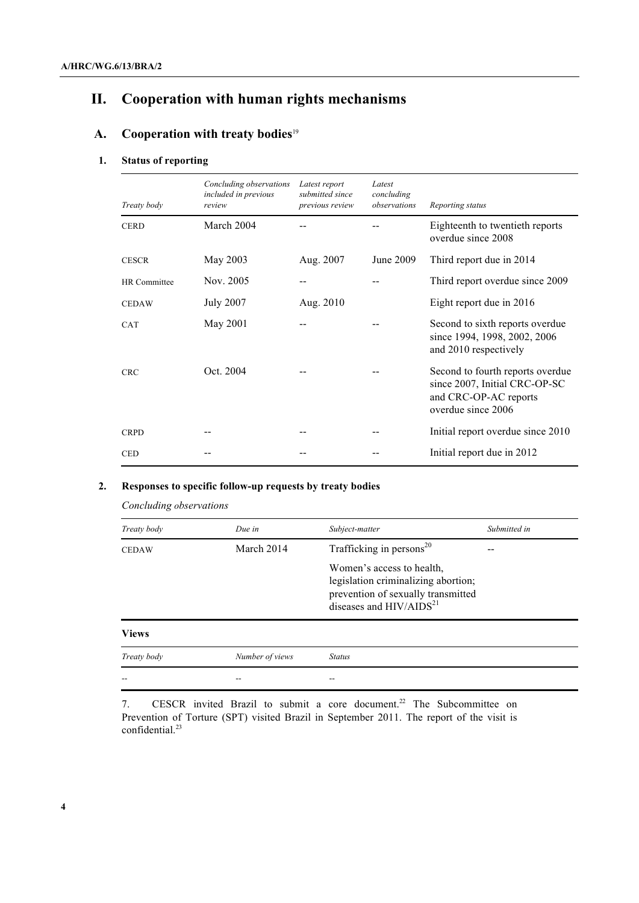# **II. Cooperation with human rights mechanisms**

## **A. Cooperation with treaty bodies**<sup>19</sup>

#### **1. Status of reporting**

| Treaty body  | Concluding observations<br>included in previous<br>review | Latest report<br>submitted since<br>previous review | Latest<br>concluding<br>observations | Reporting status                                                                                                 |
|--------------|-----------------------------------------------------------|-----------------------------------------------------|--------------------------------------|------------------------------------------------------------------------------------------------------------------|
| <b>CERD</b>  | March 2004                                                |                                                     |                                      | Eighteenth to twentieth reports<br>overdue since 2008                                                            |
| <b>CESCR</b> | May 2003                                                  | Aug. 2007                                           | June 2009                            | Third report due in 2014                                                                                         |
| HR Committee | Nov. 2005                                                 |                                                     |                                      | Third report overdue since 2009                                                                                  |
| <b>CEDAW</b> | <b>July 2007</b>                                          | Aug. 2010                                           |                                      | Eight report due in 2016                                                                                         |
| <b>CAT</b>   | May 2001                                                  |                                                     |                                      | Second to sixth reports overdue<br>since 1994, 1998, 2002, 2006<br>and 2010 respectively                         |
| <b>CRC</b>   | Oct. 2004                                                 |                                                     |                                      | Second to fourth reports overdue<br>since 2007, Initial CRC-OP-SC<br>and CRC-OP-AC reports<br>overdue since 2006 |
| <b>CRPD</b>  |                                                           |                                                     |                                      | Initial report overdue since 2010                                                                                |
| <b>CED</b>   |                                                           |                                                     |                                      | Initial report due in 2012                                                                                       |

#### **2. Responses to specific follow-up requests by treaty bodies**

*Concluding observations*

| Treaty body  | Due in          | Subject-matter                                                                                                                      | Submitted in |
|--------------|-----------------|-------------------------------------------------------------------------------------------------------------------------------------|--------------|
| <b>CEDAW</b> | March 2014      | Trafficking in persons <sup>20</sup>                                                                                                |              |
|              |                 | Women's access to health,<br>legislation criminalizing abortion;<br>prevention of sexually transmitted<br>diseases and $HIV/AIDS21$ |              |
| <b>Views</b> |                 |                                                                                                                                     |              |
| Treaty body  | Number of views | <b>Status</b>                                                                                                                       |              |
|              |                 |                                                                                                                                     |              |

7. CESCR invited Brazil to submit a core document.<sup>22</sup> The Subcommittee on Prevention of Torture (SPT) visited Brazil in September 2011. The report of the visit is confidential.<sup>23</sup>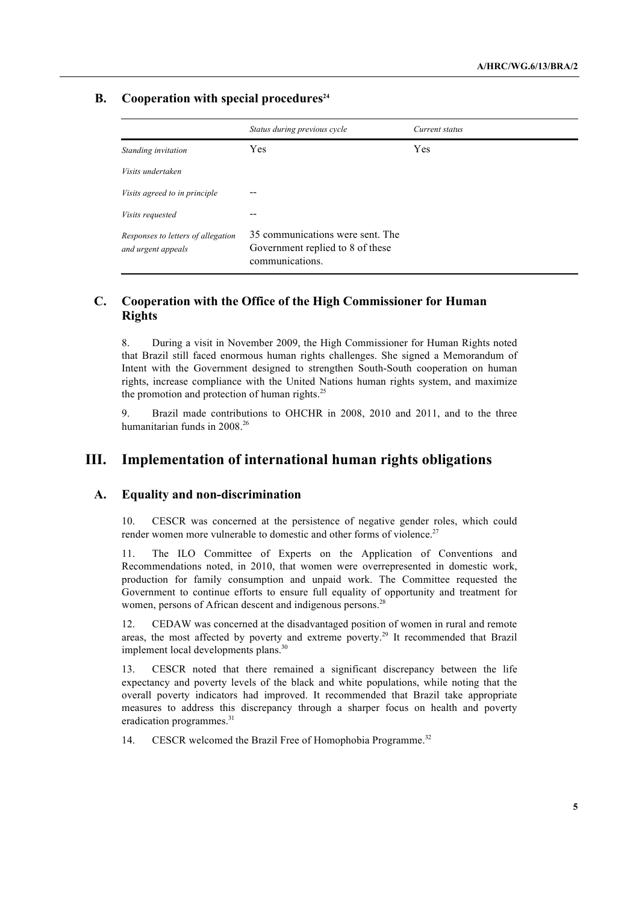#### **B.** Cooperation with special procedures<sup>24</sup>

|                                                          | Status during previous cycle                                                            | Current status |
|----------------------------------------------------------|-----------------------------------------------------------------------------------------|----------------|
| Standing invitation                                      | Yes                                                                                     | <b>Yes</b>     |
| Visits undertaken                                        |                                                                                         |                |
| Visits agreed to in principle                            |                                                                                         |                |
| <i>Visits requested</i>                                  |                                                                                         |                |
| Responses to letters of allegation<br>and urgent appeals | 35 communications were sent. The<br>Government replied to 8 of these<br>communications. |                |

#### **C. Cooperation with the Office of the High Commissioner for Human Rights**

8. During a visit in November 2009, the High Commissioner for Human Rights noted that Brazil still faced enormous human rights challenges. She signed a Memorandum of Intent with the Government designed to strengthen South-South cooperation on human rights, increase compliance with the United Nations human rights system, and maximize the promotion and protection of human rights. $^{25}$ 

9. Brazil made contributions to OHCHR in 2008, 2010 and 2011, and to the three humanitarian funds in 2008.<sup>26</sup>

### **III. Implementation of international human rights obligations**

#### **A. Equality and non-discrimination**

10. CESCR was concerned at the persistence of negative gender roles, which could render women more vulnerable to domestic and other forms of violence.<sup>27</sup>

11. The ILO Committee of Experts on the Application of Conventions and Recommendations noted, in 2010, that women were overrepresented in domestic work, production for family consumption and unpaid work. The Committee requested the Government to continue efforts to ensure full equality of opportunity and treatment for women, persons of African descent and indigenous persons.<sup>28</sup>

12. CEDAW was concerned at the disadvantaged position of women in rural and remote areas, the most affected by poverty and extreme poverty.<sup>29</sup> It recommended that Brazil implement local developments plans.<sup>3</sup>

13. CESCR noted that there remained a significant discrepancy between the life expectancy and poverty levels of the black and white populations, while noting that the overall poverty indicators had improved. It recommended that Brazil take appropriate measures to address this discrepancy through a sharper focus on health and poverty eradication programmes.<sup>31</sup>

14. CESCR welcomed the Brazil Free of Homophobia Programme.<sup>32</sup>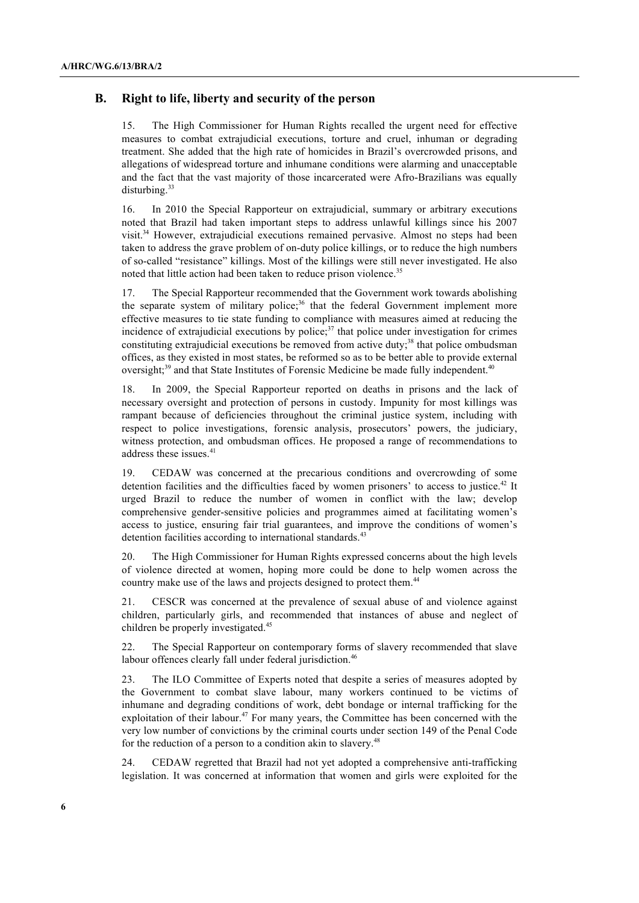#### **B. Right to life, liberty and security of the person**

15. The High Commissioner for Human Rights recalled the urgent need for effective measures to combat extrajudicial executions, torture and cruel, inhuman or degrading treatment. She added that the high rate of homicides in Brazil's overcrowded prisons, and allegations of widespread torture and inhumane conditions were alarming and unacceptable and the fact that the vast majority of those incarcerated were Afro-Brazilians was equally disturbing. 33

16. In 2010 the Special Rapporteur on extrajudicial, summary or arbitrary executions noted that Brazil had taken important steps to address unlawful killings since his 2007 visit.34 However, extrajudicial executions remained pervasive. Almost no steps had been taken to address the grave problem of on-duty police killings, or to reduce the high numbers of so-called "resistance" killings. Most of the killings were still never investigated. He also noted that little action had been taken to reduce prison violence.<sup>35</sup>

17. The Special Rapporteur recommended that the Government work towards abolishing the separate system of military police;<sup>36</sup> that the federal Government implement more effective measures to tie state funding to compliance with measures aimed at reducing the incidence of extrajudicial executions by police; $37$  that police under investigation for crimes constituting extrajudicial executions be removed from active duty;<sup>38</sup> that police ombudsman offices, as they existed in most states, be reformed so as to be better able to provide external oversight;<sup>39</sup> and that State Institutes of Forensic Medicine be made fully independent.<sup>40</sup>

18. In 2009, the Special Rapporteur reported on deaths in prisons and the lack of necessary oversight and protection of persons in custody. Impunity for most killings was rampant because of deficiencies throughout the criminal justice system, including with respect to police investigations, forensic analysis, prosecutors' powers, the judiciary, witness protection, and ombudsman offices. He proposed a range of recommendations to address these issues.<sup>41</sup>

19. CEDAW was concerned at the precarious conditions and overcrowding of some detention facilities and the difficulties faced by women prisoners' to access to justice.<sup>42</sup> It urged Brazil to reduce the number of women in conflict with the law; develop comprehensive gender-sensitive policies and programmes aimed at facilitating women's access to justice, ensuring fair trial guarantees, and improve the conditions of women's detention facilities according to international standards.<sup>43</sup>

20. The High Commissioner for Human Rights expressed concerns about the high levels of violence directed at women, hoping more could be done to help women across the country make use of the laws and projects designed to protect them.<sup>44</sup>

21. CESCR was concerned at the prevalence of sexual abuse of and violence against children, particularly girls, and recommended that instances of abuse and neglect of children be properly investigated.<sup>45</sup>

22. The Special Rapporteur on contemporary forms of slavery recommended that slave labour offences clearly fall under federal jurisdiction.<sup>46</sup>

23. The ILO Committee of Experts noted that despite a series of measures adopted by the Government to combat slave labour, many workers continued to be victims of inhumane and degrading conditions of work, debt bondage or internal trafficking for the exploitation of their labour.<sup>47</sup> For many years, the Committee has been concerned with the very low number of convictions by the criminal courts under section 149 of the Penal Code for the reduction of a person to a condition akin to slavery.<sup>48</sup>

24. CEDAW regretted that Brazil had not yet adopted a comprehensive anti-trafficking legislation. It was concerned at information that women and girls were exploited for the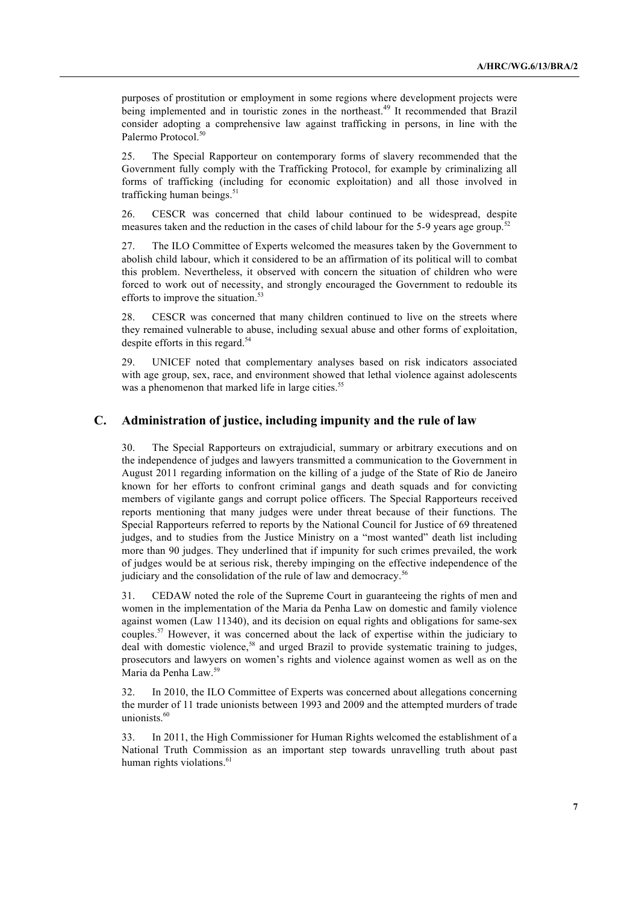purposes of prostitution or employment in some regions where development projects were being implemented and in touristic zones in the northeast.<sup>49</sup> It recommended that Brazil consider adopting a comprehensive law against trafficking in persons, in line with the Palermo Protocol.<sup>50</sup>

25. The Special Rapporteur on contemporary forms of slavery recommended that the Government fully comply with the Trafficking Protocol, for example by criminalizing all forms of trafficking (including for economic exploitation) and all those involved in trafficking human beings.<sup>51</sup>

26. CESCR was concerned that child labour continued to be widespread, despite measures taken and the reduction in the cases of child labour for the 5-9 years age group.<sup>52</sup>

27. The ILO Committee of Experts welcomed the measures taken by the Government to abolish child labour, which it considered to be an affirmation of its political will to combat this problem. Nevertheless, it observed with concern the situation of children who were forced to work out of necessity, and strongly encouraged the Government to redouble its efforts to improve the situation.<sup>5</sup>

28. CESCR was concerned that many children continued to live on the streets where they remained vulnerable to abuse, including sexual abuse and other forms of exploitation, despite efforts in this regard. 54

29. UNICEF noted that complementary analyses based on risk indicators associated with age group, sex, race, and environment showed that lethal violence against adolescents was a phenomenon that marked life in large cities.<sup>55</sup>

#### **C. Administration of justice, including impunity and the rule of law**

30. The Special Rapporteurs on extrajudicial, summary or arbitrary executions and on the independence of judges and lawyers transmitted a communication to the Government in August 2011 regarding information on the killing of a judge of the State of Rio de Janeiro known for her efforts to confront criminal gangs and death squads and for convicting members of vigilante gangs and corrupt police officers. The Special Rapporteurs received reports mentioning that many judges were under threat because of their functions. The Special Rapporteurs referred to reports by the National Council for Justice of 69 threatened judges, and to studies from the Justice Ministry on a "most wanted" death list including more than 90 judges. They underlined that if impunity for such crimes prevailed, the work of judges would be at serious risk, thereby impinging on the effective independence of the judiciary and the consolidation of the rule of law and democracy.<sup>56</sup>

31. CEDAW noted the role of the Supreme Court in guaranteeing the rights of men and women in the implementation of the Maria da Penha Law on domestic and family violence against women (Law 11340), and its decision on equal rights and obligations for same-sex couples.57 However, it was concerned about the lack of expertise within the judiciary to deal with domestic violence, <sup>58</sup> and urged Brazil to provide systematic training to judges, prosecutors and lawyers on women's rights and violence against women as well as on the Maria da Penha Law.<sup>59</sup>

32. In 2010, the ILO Committee of Experts was concerned about allegations concerning the murder of 11 trade unionists between 1993 and 2009 and the attempted murders of trade unionists.<sup>60</sup>

33. In 2011, the High Commissioner for Human Rights welcomed the establishment of a National Truth Commission as an important step towards unravelling truth about past human rights violations.<sup>61</sup>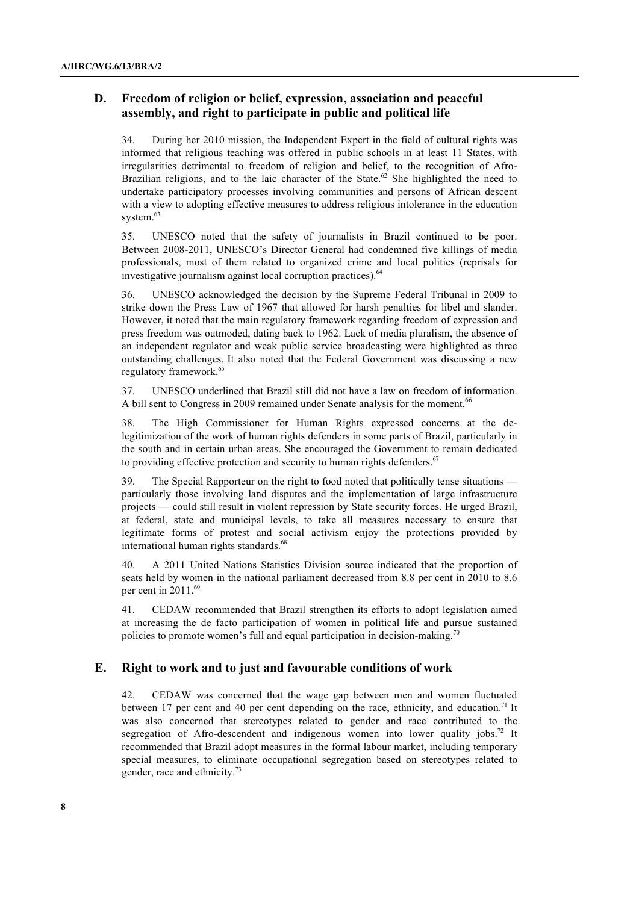#### **D. Freedom of religion or belief, expression, association and peaceful assembly, and right to participate in public and political life**

34. During her 2010 mission, the Independent Expert in the field of cultural rights was informed that religious teaching was offered in public schools in at least 11 States, with irregularities detrimental to freedom of religion and belief, to the recognition of Afro-Brazilian religions, and to the laic character of the State.<sup>62</sup> She highlighted the need to undertake participatory processes involving communities and persons of African descent with a view to adopting effective measures to address religious intolerance in the education system.<sup>63</sup>

35. UNESCO noted that the safety of journalists in Brazil continued to be poor. Between 2008-2011, UNESCO's Director General had condemned five killings of media professionals, most of them related to organized crime and local politics (reprisals for investigative journalism against local corruption practices). 64

36. UNESCO acknowledged the decision by the Supreme Federal Tribunal in 2009 to strike down the Press Law of 1967 that allowed for harsh penalties for libel and slander. However, it noted that the main regulatory framework regarding freedom of expression and press freedom was outmoded, dating back to 1962. Lack of media pluralism, the absence of an independent regulator and weak public service broadcasting were highlighted as three outstanding challenges. It also noted that the Federal Government was discussing a new regulatory framework.<sup>65</sup>

37. UNESCO underlined that Brazil still did not have a law on freedom of information. A bill sent to Congress in 2009 remained under Senate analysis for the moment.<sup>66</sup>

38. The High Commissioner for Human Rights expressed concerns at the delegitimization of the work of human rights defenders in some parts of Brazil, particularly in the south and in certain urban areas. She encouraged the Government to remain dedicated to providing effective protection and security to human rights defenders. $67$ 

39. The Special Rapporteur on the right to food noted that politically tense situations particularly those involving land disputes and the implementation of large infrastructure projects — could still result in violent repression by State security forces. He urged Brazil, at federal, state and municipal levels, to take all measures necessary to ensure that legitimate forms of protest and social activism enjoy the protections provided by international human rights standards.<sup>68</sup>

40. A 2011 United Nations Statistics Division source indicated that the proportion of seats held by women in the national parliament decreased from 8.8 per cent in 2010 to 8.6 per cent in 2011.<sup>69</sup>

41. CEDAW recommended that Brazil strengthen its efforts to adopt legislation aimed at increasing the de facto participation of women in political life and pursue sustained policies to promote women's full and equal participation in decision-making.<sup>70</sup>

#### **E. Right to work and to just and favourable conditions of work**

42. CEDAW was concerned that the wage gap between men and women fluctuated between 17 per cent and 40 per cent depending on the race, ethnicity, and education.<sup>71</sup> It was also concerned that stereotypes related to gender and race contributed to the segregation of Afro-descendent and indigenous women into lower quality jobs.<sup>72</sup> It recommended that Brazil adopt measures in the formal labour market, including temporary special measures, to eliminate occupational segregation based on stereotypes related to gender, race and ethnicity.<sup>73</sup>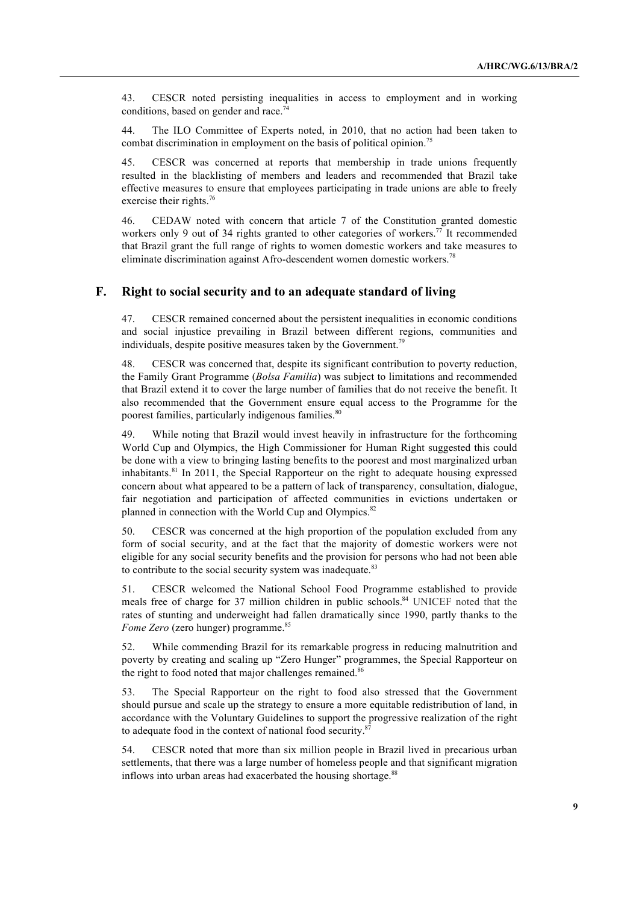43. CESCR noted persisting inequalities in access to employment and in working conditions, based on gender and race.<sup>74</sup>

44. The ILO Committee of Experts noted, in 2010, that no action had been taken to combat discrimination in employment on the basis of political opinion.<sup>75</sup>

45. CESCR was concerned at reports that membership in trade unions frequently resulted in the blacklisting of members and leaders and recommended that Brazil take effective measures to ensure that employees participating in trade unions are able to freely exercise their rights.<sup>76</sup>

46. CEDAW noted with concern that article 7 of the Constitution granted domestic workers only 9 out of 34 rights granted to other categories of workers.<sup>77</sup> It recommended that Brazil grant the full range of rights to women domestic workers and take measures to eliminate discrimination against Afro-descendent women domestic workers.<sup>78</sup>

#### **F. Right to social security and to an adequate standard of living**

47. CESCR remained concerned about the persistent inequalities in economic conditions and social injustice prevailing in Brazil between different regions, communities and individuals, despite positive measures taken by the Government.<sup>79</sup>

48. CESCR was concerned that, despite its significant contribution to poverty reduction, the Family Grant Programme (*Bolsa Familia*) was subject to limitations and recommended that Brazil extend it to cover the large number of families that do not receive the benefit. It also recommended that the Government ensure equal access to the Programme for the poorest families, particularly indigenous families.<sup>80</sup>

49. While noting that Brazil would invest heavily in infrastructure for the forthcoming World Cup and Olympics, the High Commissioner for Human Right suggested this could be done with a view to bringing lasting benefits to the poorest and most marginalized urban inhabitants.<sup>81</sup> In 2011, the Special Rapporteur on the right to adequate housing expressed concern about what appeared to be a pattern of lack of transparency, consultation, dialogue, fair negotiation and participation of affected communities in evictions undertaken or planned in connection with the World Cup and Olympics.<sup>82</sup>

50. CESCR was concerned at the high proportion of the population excluded from any form of social security, and at the fact that the majority of domestic workers were not eligible for any social security benefits and the provision for persons who had not been able to contribute to the social security system was inadequate.<sup>83</sup>

51. CESCR welcomed the National School Food Programme established to provide meals free of charge for 37 million children in public schools.<sup>84</sup> UNICEF noted that the rates of stunting and underweight had fallen dramatically since 1990, partly thanks to the *Fome Zero* (zero hunger) programme. 85

52. While commending Brazil for its remarkable progress in reducing malnutrition and poverty by creating and scaling up "Zero Hunger" programmes, the Special Rapporteur on the right to food noted that major challenges remained.<sup>86</sup>

53. The Special Rapporteur on the right to food also stressed that the Government should pursue and scale up the strategy to ensure a more equitable redistribution of land, in accordance with the Voluntary Guidelines to support the progressive realization of the right to adequate food in the context of national food security.<sup>87</sup>

54. CESCR noted that more than six million people in Brazil lived in precarious urban settlements, that there was a large number of homeless people and that significant migration inflows into urban areas had exacerbated the housing shortage.<sup>88</sup>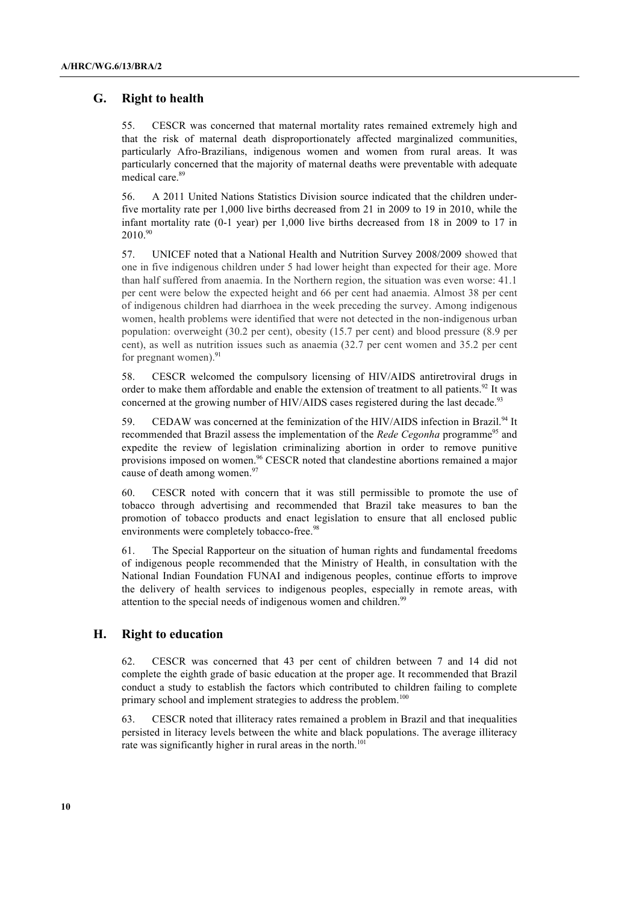#### **G. Right to health**

55. CESCR was concerned that maternal mortality rates remained extremely high and that the risk of maternal death disproportionately affected marginalized communities, particularly Afro-Brazilians, indigenous women and women from rural areas. It was particularly concerned that the majority of maternal deaths were preventable with adequate medical care. 89

56. A 2011 United Nations Statistics Division source indicated that the children underfive mortality rate per 1,000 live births decreased from 21 in 2009 to 19 in 2010, while the infant mortality rate (0-1 year) per 1,000 live births decreased from 18 in 2009 to 17 in  $2010^{90}$ 

57. UNICEF noted that a National Health and Nutrition Survey 2008/2009 showed that one in five indigenous children under 5 had lower height than expected for their age. More than half suffered from anaemia. In the Northern region, the situation was even worse: 41.1 per cent were below the expected height and 66 per cent had anaemia. Almost 38 per cent of indigenous children had diarrhoea in the week preceding the survey. Among indigenous women, health problems were identified that were not detected in the non-indigenous urban population: overweight (30.2 per cent), obesity (15.7 per cent) and blood pressure (8.9 per cent), as well as nutrition issues such as anaemia (32.7 per cent women and 35.2 per cent for pregnant women).<sup>91</sup>

58. CESCR welcomed the compulsory licensing of HIV/AIDS antiretroviral drugs in order to make them affordable and enable the extension of treatment to all patients.<sup>92</sup> It was concerned at the growing number of HIV/AIDS cases registered during the last decade.<sup>93</sup>

59. CEDAW was concerned at the feminization of the HIV/AIDS infection in Brazil.<sup>94</sup> It recommended that Brazil assess the implementation of the *Rede Cegonha* programme<sup>95</sup> and expedite the review of legislation criminalizing abortion in order to remove punitive provisions imposed on women.<sup>96</sup> CESCR noted that clandestine abortions remained a major cause of death among women.<sup>97</sup>

60. CESCR noted with concern that it was still permissible to promote the use of tobacco through advertising and recommended that Brazil take measures to ban the promotion of tobacco products and enact legislation to ensure that all enclosed public environments were completely tobacco-free.<sup>98</sup>

61. The Special Rapporteur on the situation of human rights and fundamental freedoms of indigenous people recommended that the Ministry of Health, in consultation with the National Indian Foundation FUNAI and indigenous peoples, continue efforts to improve the delivery of health services to indigenous peoples, especially in remote areas, with attention to the special needs of indigenous women and children.<sup>99</sup>

#### **H. Right to education**

62. CESCR was concerned that 43 per cent of children between 7 and 14 did not complete the eighth grade of basic education at the proper age. It recommended that Brazil conduct a study to establish the factors which contributed to children failing to complete primary school and implement strategies to address the problem.<sup>100</sup>

63. CESCR noted that illiteracy rates remained a problem in Brazil and that inequalities persisted in literacy levels between the white and black populations. The average illiteracy rate was significantly higher in rural areas in the north.<sup>101</sup>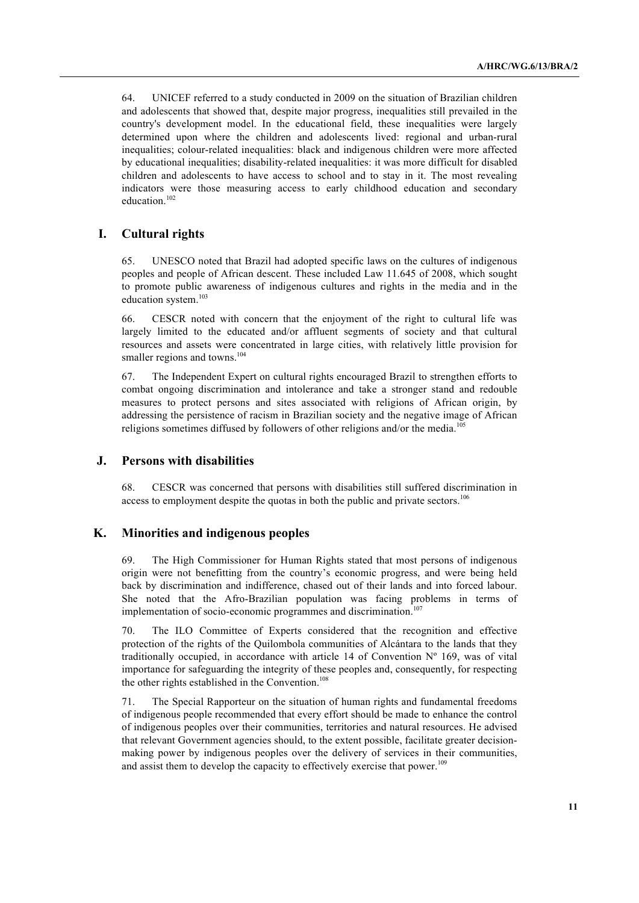64. UNICEF referred to a study conducted in 2009 on the situation of Brazilian children and adolescents that showed that, despite major progress, inequalities still prevailed in the country's development model. In the educational field, these inequalities were largely determined upon where the children and adolescents lived: regional and urban-rural inequalities; colour-related inequalities: black and indigenous children were more affected by educational inequalities; disability-related inequalities: it was more difficult for disabled children and adolescents to have access to school and to stay in it. The most revealing indicators were those measuring access to early childhood education and secondary education.<sup>102</sup>

#### **I. Cultural rights**

65. UNESCO noted that Brazil had adopted specific laws on the cultures of indigenous peoples and people of African descent. These included Law 11.645 of 2008, which sought to promote public awareness of indigenous cultures and rights in the media and in the education system.<sup>103</sup>

66. CESCR noted with concern that the enjoyment of the right to cultural life was largely limited to the educated and/or affluent segments of society and that cultural resources and assets were concentrated in large cities, with relatively little provision for smaller regions and towns.<sup>104</sup>

67. The Independent Expert on cultural rights encouraged Brazil to strengthen efforts to combat ongoing discrimination and intolerance and take a stronger stand and redouble measures to protect persons and sites associated with religions of African origin, by addressing the persistence of racism in Brazilian society and the negative image of African religions sometimes diffused by followers of other religions and/or the media.<sup>10</sup>

#### **J. Persons with disabilities**

68. CESCR was concerned that persons with disabilities still suffered discrimination in access to employment despite the quotas in both the public and private sectors.<sup>106</sup>

#### **K. Minorities and indigenous peoples**

69. The High Commissioner for Human Rights stated that most persons of indigenous origin were not benefitting from the country's economic progress, and were being held back by discrimination and indifference, chased out of their lands and into forced labour. She noted that the Afro-Brazilian population was facing problems in terms of implementation of socio-economic programmes and discrimination.<sup>107</sup>

70. The ILO Committee of Experts considered that the recognition and effective protection of the rights of the Quilombola communities of Alcántara to the lands that they traditionally occupied, in accordance with article 14 of Convention  $N^{\circ}$  169, was of vital importance for safeguarding the integrity of these peoples and, consequently, for respecting the other rights established in the Convention.<sup>108</sup>

71. The Special Rapporteur on the situation of human rights and fundamental freedoms of indigenous people recommended that every effort should be made to enhance the control of indigenous peoples over their communities, territories and natural resources. He advised that relevant Government agencies should, to the extent possible, facilitate greater decisionmaking power by indigenous peoples over the delivery of services in their communities, and assist them to develop the capacity to effectively exercise that power.<sup>109</sup>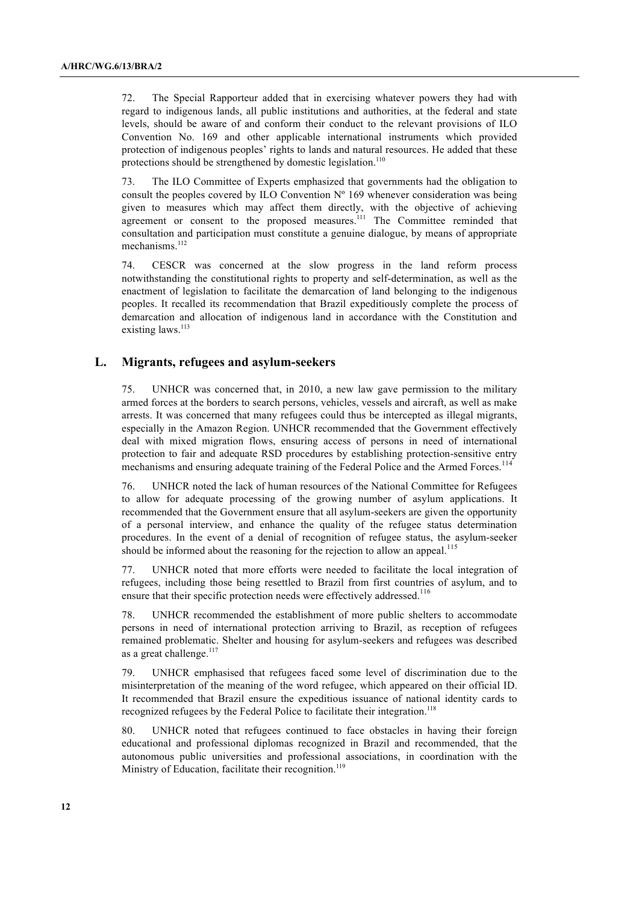72. The Special Rapporteur added that in exercising whatever powers they had with regard to indigenous lands, all public institutions and authorities, at the federal and state levels, should be aware of and conform their conduct to the relevant provisions of ILO Convention No. 169 and other applicable international instruments which provided protection of indigenous peoples' rights to lands and natural resources. He added that these protections should be strengthened by domestic legislation.<sup>110</sup>

73. The ILO Committee of Experts emphasized that governments had the obligation to consult the peoples covered by ILO Convention  $N^{\circ}$  169 whenever consideration was being given to measures which may affect them directly, with the objective of achieving agreement or consent to the proposed measures.<sup>111</sup> The Committee reminded that consultation and participation must constitute a genuine dialogue, by means of appropriate mechanisms.<sup>112</sup>

74. CESCR was concerned at the slow progress in the land reform process notwithstanding the constitutional rights to property and self-determination, as well as the enactment of legislation to facilitate the demarcation of land belonging to the indigenous peoples. It recalled its recommendation that Brazil expeditiously complete the process of demarcation and allocation of indigenous land in accordance with the Constitution and existing laws.<sup>113</sup>

#### **L. Migrants, refugees and asylum-seekers**

75. UNHCR was concerned that, in 2010, a new law gave permission to the military armed forces at the borders to search persons, vehicles, vessels and aircraft, as well as make arrests. It was concerned that many refugees could thus be intercepted as illegal migrants, especially in the Amazon Region. UNHCR recommended that the Government effectively deal with mixed migration flows, ensuring access of persons in need of international protection to fair and adequate RSD procedures by establishing protection-sensitive entry mechanisms and ensuring adequate training of the Federal Police and the Armed Forces.<sup>114</sup>

76. UNHCR noted the lack of human resources of the National Committee for Refugees to allow for adequate processing of the growing number of asylum applications. It recommended that the Government ensure that all asylum-seekers are given the opportunity of a personal interview, and enhance the quality of the refugee status determination procedures. In the event of a denial of recognition of refugee status, the asylum-seeker should be informed about the reasoning for the rejection to allow an appeal.<sup>115</sup>

77. UNHCR noted that more efforts were needed to facilitate the local integration of refugees, including those being resettled to Brazil from first countries of asylum, and to ensure that their specific protection needs were effectively addressed.<sup>116</sup>

78. UNHCR recommended the establishment of more public shelters to accommodate persons in need of international protection arriving to Brazil, as reception of refugees remained problematic. Shelter and housing for asylum-seekers and refugees was described as a great challenge. $117$ 

79. UNHCR emphasised that refugees faced some level of discrimination due to the misinterpretation of the meaning of the word refugee, which appeared on their official ID. It recommended that Brazil ensure the expeditious issuance of national identity cards to recognized refugees by the Federal Police to facilitate their integration.<sup>118</sup>

80. UNHCR noted that refugees continued to face obstacles in having their foreign educational and professional diplomas recognized in Brazil and recommended, that the autonomous public universities and professional associations, in coordination with the Ministry of Education, facilitate their recognition.<sup>119</sup>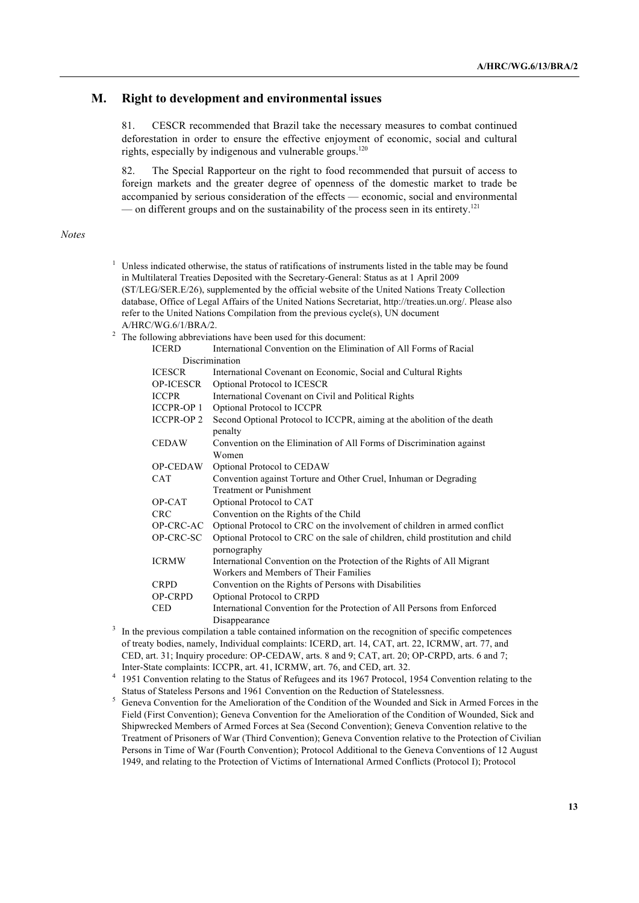#### **M. Right to development and environmental issues**

81. CESCR recommended that Brazil take the necessary measures to combat continued deforestation in order to ensure the effective enjoyment of economic, social and cultural rights, especially by indigenous and vulnerable groups.<sup>120</sup>

82. The Special Rapporteur on the right to food recommended that pursuit of access to foreign markets and the greater degree of openness of the domestic market to trade be accompanied by serious consideration of the effects — economic, social and environmental — on different groups and on the sustainability of the process seen in its entirety.<sup>121</sup>

#### *Notes*

- $1$  Unless indicated otherwise, the status of ratifications of instruments listed in the table may be found in Multilateral Treaties Deposited with the Secretary-General: Status as at 1 April 2009 (ST/LEG/SER.E/26), supplemented by the official website of the United Nations Treaty Collection database, Office of Legal Affairs of the United Nations Secretariat, http://treaties.un.org/. Please also refer to the United Nations Compilation from the previous cycle(s), UN document A/HRC/WG.6/1/BRA/2.
- <sup>2</sup> The following abbreviations have been used for this document:

| <b>ICERD</b>      | International Convention on the Elimination of All Forms of Racial                            |
|-------------------|-----------------------------------------------------------------------------------------------|
|                   | Discrimination                                                                                |
| <b>ICESCR</b>     | International Covenant on Economic, Social and Cultural Rights                                |
| <b>OP-ICESCR</b>  | Optional Protocol to ICESCR                                                                   |
| <b>ICCPR</b>      | International Covenant on Civil and Political Rights                                          |
| <b>ICCPR-OP 1</b> | Optional Protocol to ICCPR                                                                    |
| <b>ICCPR-OP 2</b> | Second Optional Protocol to ICCPR, aiming at the abolition of the death<br>penalty            |
| <b>CEDAW</b>      | Convention on the Elimination of All Forms of Discrimination against                          |
|                   | Women                                                                                         |
| <b>OP-CEDAW</b>   | Optional Protocol to CEDAW                                                                    |
| <b>CAT</b>        | Convention against Torture and Other Cruel, Inhuman or Degrading<br>Treatment or Punishment   |
| OP-CAT            | Optional Protocol to CAT                                                                      |
| <b>CRC</b>        | Convention on the Rights of the Child                                                         |
| OP-CRC-AC         | Optional Protocol to CRC on the involvement of children in armed conflict                     |
| OP-CRC-SC         | Optional Protocol to CRC on the sale of children, child prostitution and child<br>pornography |
| <b>ICRMW</b>      | International Convention on the Protection of the Rights of All Migrant                       |
|                   | Workers and Members of Their Families                                                         |
| <b>CRPD</b>       | Convention on the Rights of Persons with Disabilities                                         |
| <b>OP-CRPD</b>    | Optional Protocol to CRPD                                                                     |
| <b>CED</b>        | International Convention for the Protection of All Persons from Enforced                      |
|                   | Disappearance                                                                                 |

- $3\,$  In the previous compilation a table contained information on the recognition of specific competences of treaty bodies, namely, Individual complaints: ICERD, art. 14, CAT, art. 22, ICRMW, art. 77, and CED, art. 31; Inquiry procedure: OP-CEDAW, arts. 8 and 9; CAT, art. 20; OP-CRPD, arts. 6 and 7; Inter-State complaints: ICCPR, art. 41, ICRMW, art. 76, and CED, art. 32.
- <sup>4</sup> 1951 Convention relating to the Status of Refugees and its 1967 Protocol, 1954 Convention relating to the Status of Stateless Persons and 1961 Convention on the Reduction of Statelessness.
- <sup>5</sup> Geneva Convention for the Amelioration of the Condition of the Wounded and Sick in Armed Forces in the Field (First Convention); Geneva Convention for the Amelioration of the Condition of Wounded, Sick and Shipwrecked Members of Armed Forces at Sea (Second Convention); Geneva Convention relative to the Treatment of Prisoners of War (Third Convention); Geneva Convention relative to the Protection of Civilian Persons in Time of War (Fourth Convention); Protocol Additional to the Geneva Conventions of 12 August 1949, and relating to the Protection of Victims of International Armed Conflicts (Protocol I); Protocol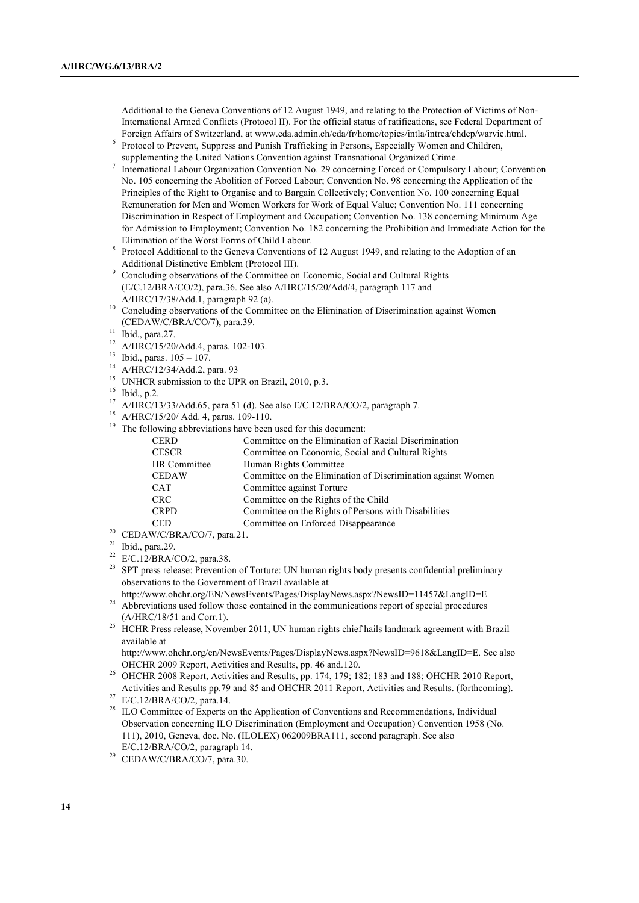Additional to the Geneva Conventions of 12 August 1949, and relating to the Protection of Victims of Non-International Armed Conflicts (Protocol II). For the official status of ratifications, see Federal Department of Foreign Affairs of Switzerland, at www.eda.admin.ch/eda/fr/home/topics/intla/intrea/chdep/warvic.html.

- <sup>6</sup> Protocol to Prevent, Suppress and Punish Trafficking in Persons, Especially Women and Children, supplementing the United Nations Convention against Transnational Organized Crime.
- <sup>7</sup> International Labour Organization Convention No. 29 concerning Forced or Compulsory Labour; Convention No. 105 concerning the Abolition of Forced Labour; Convention No. 98 concerning the Application of the Principles of the Right to Organise and to Bargain Collectively; Convention No. 100 concerning Equal Remuneration for Men and Women Workers for Work of Equal Value; Convention No. 111 concerning Discrimination in Respect of Employment and Occupation; Convention No. 138 concerning Minimum Age for Admission to Employment; Convention No. 182 concerning the Prohibition and Immediate Action for the Elimination of the Worst Forms of Child Labour.
- <sup>8</sup> Protocol Additional to the Geneva Conventions of 12 August 1949, and relating to the Adoption of an Additional Distinctive Emblem (Protocol III).
- <sup>9</sup> Concluding observations of the Committee on Economic, Social and Cultural Rights (E/C.12/BRA/CO/2), para.36. See also A/HRC/15/20/Add/4, paragraph 117 and A/HRC/17/38/Add.1, paragraph 92 (a).
- <sup>10</sup> Concluding observations of the Committee on the Elimination of Discrimination against Women (CEDAW/C/BRA/CO/7), para.39.
- $11$  Ibid., para. 27.
- <sup>12</sup> A/HRC/15/20/Add.4, paras. 102-103.
- <sup>13</sup> Ibid., paras.  $105 107$ .
- <sup>14</sup> A/HRC/12/34/Add.2, para. 93
- <sup>15</sup> UNHCR submission to the UPR on Brazil, 2010, p.3.
- $^{16}$  Ibid., p.2.
- <sup>17</sup> A/HRC/13/33/Add.65, para 51 (d). See also E/C.12/BRA/CO/2, paragraph 7.
- <sup>18</sup> A/HRC/15/20/ Add. 4, paras. 109-110.
- <sup>19</sup> The following abbreviations have been used for this document:

| <b>CERD</b>  | Committee on the Elimination of Racial Discrimination        |
|--------------|--------------------------------------------------------------|
| <b>CESCR</b> | Committee on Economic, Social and Cultural Rights            |
| HR Committee | Human Rights Committee                                       |
| <b>CEDAW</b> | Committee on the Elimination of Discrimination against Women |
| <b>CAT</b>   | Committee against Torture                                    |
| <b>CRC</b>   | Committee on the Rights of the Child                         |
| <b>CRPD</b>  | Committee on the Rights of Persons with Disabilities         |
| <b>CED</b>   | Committee on Enforced Disappearance                          |
|              |                                                              |

- <sup>20</sup> CEDAW/C/BRA/CO/7, para.21.
- $21$  Ibid., para.29.
- <sup>22</sup> E/C.12/BRA/CO/2, para.38.
- <sup>23</sup> SPT press release: Prevention of Torture: UN human rights body presents confidential preliminary observations to the Government of Brazil available at
- http://www.ohchr.org/EN/NewsEvents/Pages/DisplayNews.aspx?NewsID=11457&LangID=E
- <sup>24</sup> Abbreviations used follow those contained in the communications report of special procedures (A/HRC/18/51 and Corr.1).
- <sup>25</sup> HCHR Press release, November 2011, UN human rights chief hails landmark agreement with Brazil available at
	- http://www.ohchr.org/en/NewsEvents/Pages/DisplayNews.aspx?NewsID=9618&LangID=E. See also
- OHCHR 2009 Report, Activities and Results, pp. 46 and.120. 26 OHCHR 2008 Report, Activities and Results, pp. 174, 179; 182; 183 and 188; OHCHR 2010 Report, Activities and Results pp.79 and 85 and OHCHR 2011 Report, Activities and Results. (forthcoming).

<sup>27</sup> E/C.12/BRA/CO/2, para.14.

- <sup>28</sup> ILO Committee of Experts on the Application of Conventions and Recommendations, Individual Observation concerning ILO Discrimination (Employment and Occupation) Convention 1958 (No. 111), 2010, Geneva, doc. No. (ILOLEX) 062009BRA111, second paragraph. See also E/C.12/BRA/CO/2, paragraph 14.
- <sup>29</sup> CEDAW/C/BRA/CO/7, para.30.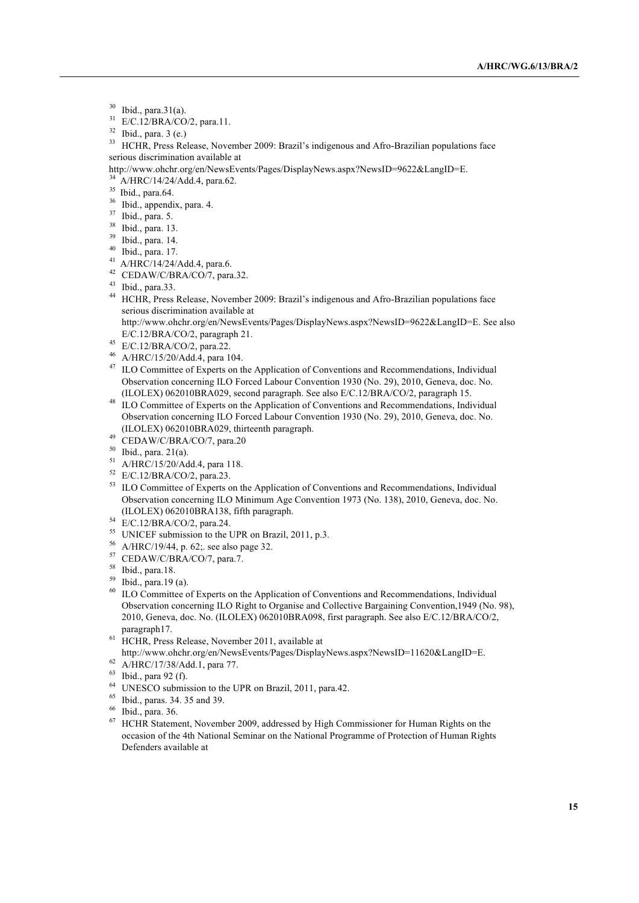- $^{30}$  Ibid., para.31(a).<br> $^{31}$  E/C 12/PP A/CO
- E/C.12/BRA/CO/2, para.11.
- $32$  Ibid., para. 3 (e.)

<sup>33</sup> HCHR, Press Release, November 2009: Brazil's indigenous and Afro-Brazilian populations face serious discrimination available at

- http://www.ohchr.org/en/NewsEvents/Pages/DisplayNews.aspx?NewsID=9622&LangID=E.
- <sup>34</sup> A/HRC/14/24/Add.4, para.62.
- $35$  Ibid., para.64.
- <sup>36</sup> Ibid., appendix, para. 4.
- <sup>37</sup> Ibid., para. 5.
- <sup>38</sup> Ibid., para. 13.
- <sup>39</sup> Ibid., para. 14.
- <sup>40</sup> Ibid., para. 17.
- <sup>41</sup> A/HRC/14/24/Add.4, para.6.
- <sup>42</sup> CEDAW/C/BRA/CO/7, para.32.
- $43$  Ibid., para.33.
- <sup>44</sup> HCHR, Press Release, November 2009: Brazil's indigenous and Afro-Brazilian populations face serious discrimination available at
	- http://www.ohchr.org/en/NewsEvents/Pages/DisplayNews.aspx?NewsID=9622&LangID=E. See also E/C.12/BRA/CO/2, paragraph 21.
- <sup>45</sup> E/C.12/BRA/CO/2, para.22.
- <sup>46</sup> A/HRC/15/20/Add.4, para 104.
- <sup>47</sup> ILO Committee of Experts on the Application of Conventions and Recommendations, Individual Observation concerning ILO Forced Labour Convention 1930 (No. 29), 2010, Geneva, doc. No. (ILOLEX) 062010BRA029, second paragraph. See also E/C.12/BRA/CO/2, paragraph 15.
- <sup>48</sup> ILO Committee of Experts on the Application of Conventions and Recommendations, Individual Observation concerning ILO Forced Labour Convention 1930 (No. 29), 2010, Geneva, doc. No. (ILOLEX) 062010BRA029, thirteenth paragraph.
- <sup>49</sup> CEDAW/C/BRA/CO/7, para.20
- <sup>50</sup> Ibid., para. 21(a).
- <sup>51</sup> A/HRC/15/20/Add.4, para 118.
- <sup>52</sup> E/C.12/BRA/CO/2, para.23.
- <sup>53</sup> ILO Committee of Experts on the Application of Conventions and Recommendations, Individual Observation concerning ILO Minimum Age Convention 1973 (No. 138), 2010, Geneva, doc. No. (ILOLEX) 062010BRA138, fifth paragraph.
- <sup>54</sup> E/C.12/BRA/CO/2, para.24.
- <sup>55</sup> UNICEF submission to the UPR on Brazil, 2011, p.3.
- <sup>56</sup> A/HRC/19/44, p. 62;. see also page 32.
- <sup>57</sup> CEDAW/C/BRA/CO/7, para.7.
- <sup>58</sup> Ibid., para.18.
- <sup>59</sup> Ibid., para.19 (a).
- <sup>60</sup> ILO Committee of Experts on the Application of Conventions and Recommendations, Individual Observation concerning ILO Right to Organise and Collective Bargaining Convention,1949 (No. 98), 2010, Geneva, doc. No. (ILOLEX) 062010BRA098, first paragraph. See also E/C.12/BRA/CO/2, paragraph17.
- $^{61}$  HCHR, Press Release, November 2011, available at http://www.ohchr.org/en/NewsEvents/Pages/DisplayNews.aspx?NewsID=11620&LangID=E.
- $62$  A/HRC/17/38/Add.1, para 77.
- <sup>63</sup> Ibid., para 92 (f).
- $^{64}$  UNESCO submission to the UPR on Brazil, 2011, para.42.
- $^{65}$  Ibid., paras. 34. 35 and 39.<br> $^{66}$  Ibid. para 36.
- $^{66}$  Ibid., para. 36.
- <sup>67</sup> HCHR Statement, November 2009, addressed by High Commissioner for Human Rights on the occasion of the 4th National Seminar on the National Programme of Protection of Human Rights Defenders available at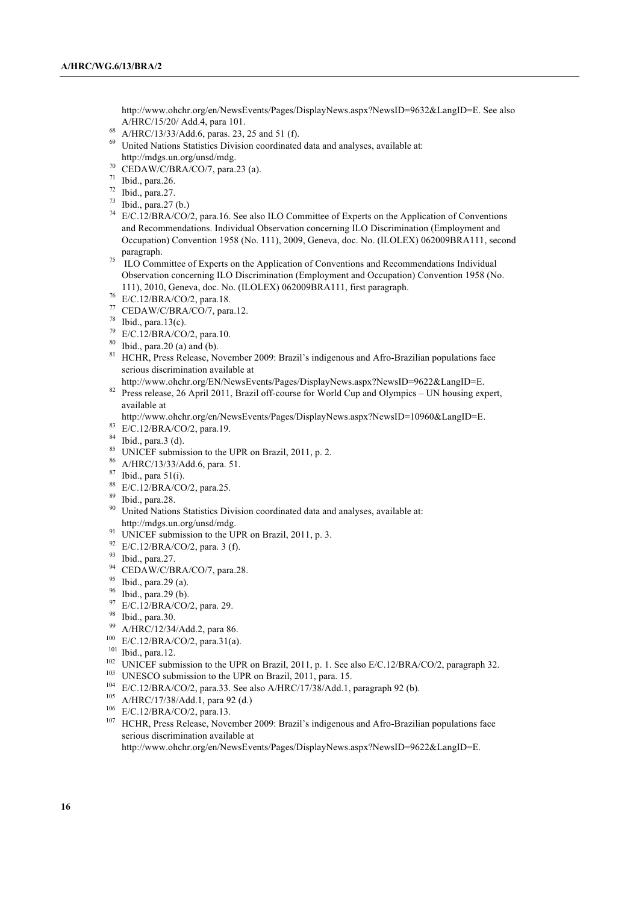http://www.ohchr.org/en/NewsEvents/Pages/DisplayNews.aspx?NewsID=9632&LangID=E. See also A/HRC/15/20/ Add.4, para 101.

- <sup>68</sup> A/HRC/13/33/Add.6, paras. 23, 25 and 51 (f).
- <sup>69</sup> United Nations Statistics Division coordinated data and analyses, available at: http://mdgs.un.org/unsd/mdg.
- <sup>70</sup> CEDAW/C/BRA/CO/7, para.23 (a).
- $71$  Ibid., para.26.
- $72$  Ibid., para.27.
- <sup>73</sup> Ibid., para.27 (b.)
- <sup>74</sup> E/C.12/BRA/CO/2, para.16. See also ILO Committee of Experts on the Application of Conventions and Recommendations. Individual Observation concerning ILO Discrimination (Employment and Occupation) Convention 1958 (No. 111), 2009, Geneva, doc. No. (ILOLEX) 062009BRA111, second paragraph.
- <sup>75</sup> ILO Committee of Experts on the Application of Conventions and Recommendations Individual Observation concerning ILO Discrimination (Employment and Occupation) Convention 1958 (No. 111), 2010, Geneva, doc. No. (ILOLEX) 062009BRA111, first paragraph.
- <sup>76</sup> E/C.12/BRA/CO/2, para.18.
- <sup>77</sup> CEDAW/C/BRA/CO/7, para.12.
- $78$  Ibid., para.13(c).
- <sup>79</sup> E/C.12/BRA/CO/2, para.10.
- $80$  Ibid., para. 20 (a) and (b).
- <sup>81</sup> HCHR, Press Release, November 2009: Brazil's indigenous and Afro-Brazilian populations face serious discrimination available at
- http://www.ohchr.org/EN/NewsEvents/Pages/DisplayNews.aspx?NewsID=9622&LangID=E.
- <sup>82</sup> Press release, 26 April 2011, Brazil off-course for World Cup and Olympics UN housing expert, available at
- http://www.ohchr.org/en/NewsEvents/Pages/DisplayNews.aspx?NewsID=10960&LangID=E.
- <sup>83</sup> E/C.12/BRA/CO/2, para.19.
- <sup>84</sup> Ibid., para.3 (d).
- <sup>85</sup> UNICEF submission to the UPR on Brazil, 2011, p. 2.
- <sup>86</sup> A/HRC/13/33/Add.6, para. 51. 87 Ibid., para 51(i).
- 
- <sup>88</sup> E/C.12/BRA/CO/2, para.25.
- <sup>89</sup> Ibid., para.28.
- <sup>90</sup> United Nations Statistics Division coordinated data and analyses, available at: http://mdgs.un.org/unsd/mdg.
- <sup>91</sup> UNICEF submission to the UPR on Brazil, 2011, p. 3.
- <sup>92</sup> E/C.12/BRA/CO/2, para. 3 (f).
- <sup>93</sup> Ibid., para.27.
- <sup>94</sup> CEDAW/C/BRA/CO/7, para.28.
- $95$  Ibid., para.29 (a).
- <sup>96</sup> Ibid., para.29 (b).
- <sup>97</sup> E/C.12/BRA/CO/2, para. 29.
- <sup>98</sup> Ibid., para.30.
- A/HRC/12/34/Add.2, para 86.
- <sup>100</sup> E/C.12/BRA/CO/2, para.31(a).
- <sup>101</sup> Ibid., para.12.
- <sup>102</sup> UNICEF submission to the UPR on Brazil, 2011, p. 1. See also E/C.12/BRA/CO/2, paragraph 32.
- <sup>103</sup> UNESCO submission to the UPR on Brazil, 2011, para. 15.
- <sup>104</sup> E/C.12/BRA/CO/2, para.33. See also A/HRC/17/38/Add.1, paragraph 92 (b).
- <sup>105</sup> A/HRC/17/38/Add.1, para 92 (d.)
- <sup>106</sup> E/C.12/BRA/CO/2, para.13.
- <sup>107</sup> HCHR, Press Release, November 2009: Brazil's indigenous and Afro-Brazilian populations face serious discrimination available at
	- http://www.ohchr.org/en/NewsEvents/Pages/DisplayNews.aspx?NewsID=9622&LangID=E.